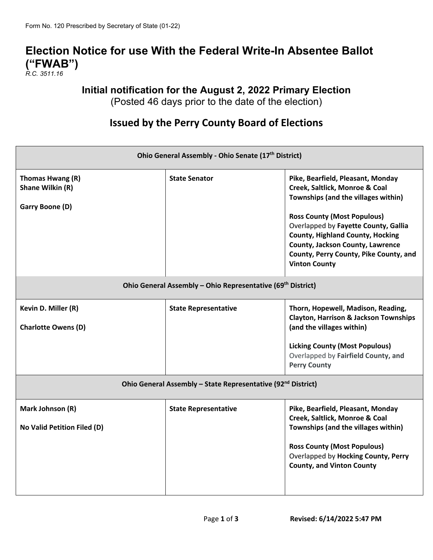# **Election Notice for use With the Federal Write-In Absentee Ballot ("FWAB")**

*R.C. 3511.16*

## **Initial notification for the August 2, 2022 Primary Election**

(Posted 46 days prior to the date of the election)

# **Issued by the Perry County Board of Elections**

| Ohio General Assembly - Ohio Senate (17 <sup>th</sup> District)          |                             |                                                                                                                                                                                                                                                                                                                                           |  |  |
|--------------------------------------------------------------------------|-----------------------------|-------------------------------------------------------------------------------------------------------------------------------------------------------------------------------------------------------------------------------------------------------------------------------------------------------------------------------------------|--|--|
| Thomas Hwang (R)<br>Shane Wilkin (R)<br>Garry Boone (D)                  | <b>State Senator</b>        | Pike, Bearfield, Pleasant, Monday<br>Creek, Saltlick, Monroe & Coal<br>Townships (and the villages within)<br><b>Ross County (Most Populous)</b><br>Overlapped by Fayette County, Gallia<br><b>County, Highland County, Hocking</b><br>County, Jackson County, Lawrence<br>County, Perry County, Pike County, and<br><b>Vinton County</b> |  |  |
| Ohio General Assembly - Ohio Representative (69 <sup>th</sup> District)  |                             |                                                                                                                                                                                                                                                                                                                                           |  |  |
| Kevin D. Miller (R)<br><b>Charlotte Owens (D)</b>                        | <b>State Representative</b> | Thorn, Hopewell, Madison, Reading,<br><b>Clayton, Harrison &amp; Jackson Townships</b><br>(and the villages within)<br><b>Licking County (Most Populous)</b><br>Overlapped by Fairfield County, and<br><b>Perry County</b>                                                                                                                |  |  |
| Ohio General Assembly - State Representative (92 <sup>nd</sup> District) |                             |                                                                                                                                                                                                                                                                                                                                           |  |  |
| Mark Johnson (R)<br>No Valid Petition Filed (D)                          | <b>State Representative</b> | Pike, Bearfield, Pleasant, Monday<br>Creek, Saltlick, Monroe & Coal<br>Townships (and the villages within)<br><b>Ross County (Most Populous)</b><br>Overlapped by Hocking County, Perry<br><b>County, and Vinton County</b>                                                                                                               |  |  |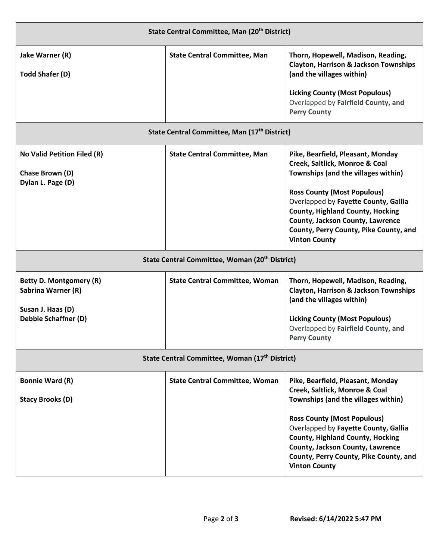| State Central Committee, Man (20 <sup>th</sup> District)                                          |                                       |                                                                                                                                                                                                                             |  |  |
|---------------------------------------------------------------------------------------------------|---------------------------------------|-----------------------------------------------------------------------------------------------------------------------------------------------------------------------------------------------------------------------------|--|--|
| Jake Warner (R)<br><b>Todd Shafer (D)</b>                                                         | <b>State Central Committee, Man</b>   | Thorn, Hopewell, Madison, Reading,<br><b>Clayton, Harrison &amp; Jackson Townships</b><br>(and the villages within)                                                                                                         |  |  |
|                                                                                                   |                                       | <b>Licking County (Most Populous)</b><br>Overlapped by Fairfield County, and<br><b>Perry County</b>                                                                                                                         |  |  |
| State Central Committee, Man (17 <sup>th</sup> District)                                          |                                       |                                                                                                                                                                                                                             |  |  |
| No Valid Petition Filed (R)<br>Chase Brown (D)<br>Dylan L. Page (D)                               | <b>State Central Committee, Man</b>   | Pike, Bearfield, Pleasant, Monday<br>Creek, Saltlick, Monroe & Coal<br>Townships (and the villages within)<br><b>Ross County (Most Populous)</b>                                                                            |  |  |
|                                                                                                   |                                       | Overlapped by Fayette County, Gallia<br><b>County, Highland County, Hocking</b><br>County, Jackson County, Lawrence<br>County, Perry County, Pike County, and<br><b>Vinton County</b>                                       |  |  |
| State Central Committee, Woman (20 <sup>th</sup> District)                                        |                                       |                                                                                                                                                                                                                             |  |  |
| Betty D. Montgomery (R)<br>Sabrina Warner (R)<br>Susan J. Haas (D)<br><b>Debbie Schaffner (D)</b> | <b>State Central Committee, Woman</b> | Thorn, Hopewell, Madison, Reading,<br><b>Clayton, Harrison &amp; Jackson Townships</b><br>(and the villages within)                                                                                                         |  |  |
|                                                                                                   |                                       | <b>Licking County (Most Populous)</b><br>Overlapped by Fairfield County, and<br><b>Perry County</b>                                                                                                                         |  |  |
| State Central Committee, Woman (17 <sup>th</sup> District)                                        |                                       |                                                                                                                                                                                                                             |  |  |
| <b>Bonnie Ward (R)</b>                                                                            | <b>State Central Committee, Woman</b> | Pike, Bearfield, Pleasant, Monday<br>Creek, Saltlick, Monroe & Coal                                                                                                                                                         |  |  |
| <b>Stacy Brooks (D)</b>                                                                           |                                       | Townships (and the villages within)                                                                                                                                                                                         |  |  |
|                                                                                                   |                                       | <b>Ross County (Most Populous)</b><br>Overlapped by Fayette County, Gallia<br><b>County, Highland County, Hocking</b><br>County, Jackson County, Lawrence<br>County, Perry County, Pike County, and<br><b>Vinton County</b> |  |  |